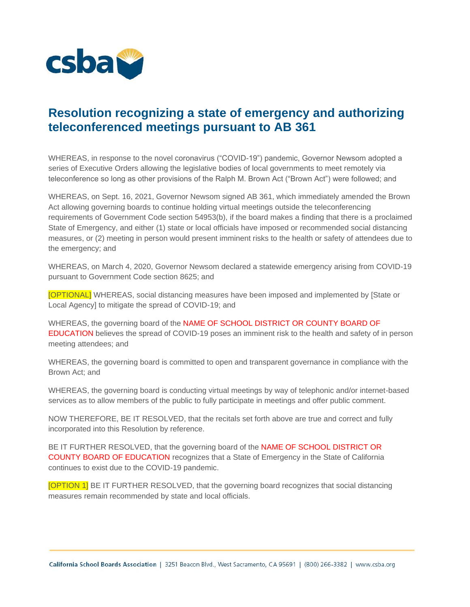

## **Resolution recognizing a state of emergency and authorizing teleconferenced meetings pursuant to AB 361**

WHEREAS, in response to the novel coronavirus ("COVID-19") pandemic, Governor Newsom adopted a series of Executive Orders allowing the legislative bodies of local governments to meet remotely via teleconference so long as other provisions of the Ralph M. Brown Act ("Brown Act") were followed; and

WHEREAS, on Sept. 16, 2021, Governor Newsom signed AB 361, which immediately amended the Brown Act allowing governing boards to continue holding virtual meetings outside the teleconferencing requirements of Government Code section 54953(b), if the board makes a finding that there is a proclaimed State of Emergency, and either (1) state or local officials have imposed or recommended social distancing measures, or (2) meeting in person would present imminent risks to the health or safety of attendees due to the emergency; and

WHEREAS, on March 4, 2020, Governor Newsom declared a statewide emergency arising from COVID-19 pursuant to Government Code section 8625; and

[OPTIONAL] WHEREAS, social distancing measures have been imposed and implemented by [State or Local Agency] to mitigate the spread of COVID-19; and

WHEREAS, the governing board of the NAME OF SCHOOL DISTRICT OR COUNTY BOARD OF EDUCATION believes the spread of COVID-19 poses an imminent risk to the health and safety of in person meeting attendees; and

WHEREAS, the governing board is committed to open and transparent governance in compliance with the Brown Act; and

WHEREAS, the governing board is conducting virtual meetings by way of telephonic and/or internet-based services as to allow members of the public to fully participate in meetings and offer public comment.

NOW THEREFORE, BE IT RESOLVED, that the recitals set forth above are true and correct and fully incorporated into this Resolution by reference.

BE IT FURTHER RESOLVED, that the governing board of the NAME OF SCHOOL DISTRICT OR COUNTY BOARD OF EDUCATION recognizes that a State of Emergency in the State of California continues to exist due to the COVID-19 pandemic.

[OPTION 1] BE IT FURTHER RESOLVED, that the governing board recognizes that social distancing measures remain recommended by state and local officials.